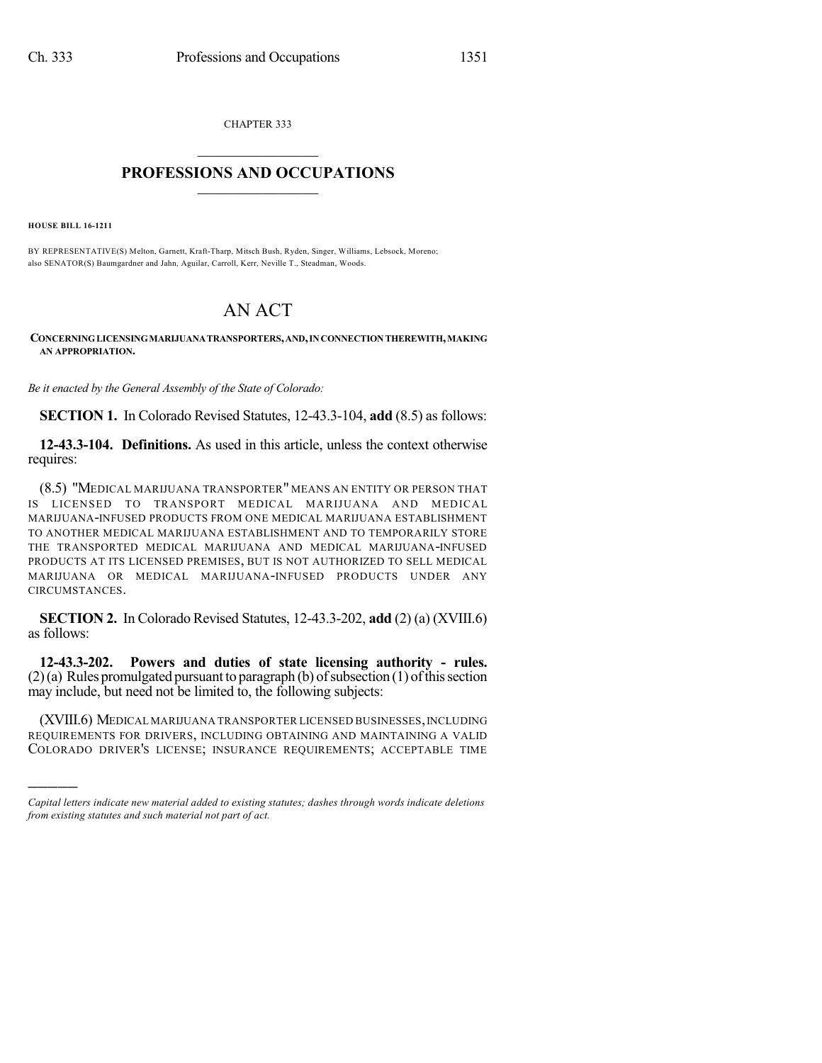CHAPTER 333  $\mathcal{L}_\text{max}$  . The set of the set of the set of the set of the set of the set of the set of the set of the set of the set of the set of the set of the set of the set of the set of the set of the set of the set of the set

## **PROFESSIONS AND OCCUPATIONS**  $\frac{1}{2}$  ,  $\frac{1}{2}$  ,  $\frac{1}{2}$  ,  $\frac{1}{2}$  ,  $\frac{1}{2}$  ,  $\frac{1}{2}$  ,  $\frac{1}{2}$

**HOUSE BILL 16-1211**

)))))

BY REPRESENTATIVE(S) Melton, Garnett, Kraft-Tharp, Mitsch Bush, Ryden, Singer, Williams, Lebsock, Moreno; also SENATOR(S) Baumgardner and Jahn, Aguilar, Carroll, Kerr, Neville T., Steadman, Woods.

## AN ACT

**CONCERNINGLICENSINGMARIJUANATRANSPORTERS,AND,INCONNECTIONTHEREWITH,MAKING AN APPROPRIATION.**

*Be it enacted by the General Assembly of the State of Colorado:*

**SECTION 1.** In Colorado Revised Statutes, 12-43.3-104, **add** (8.5) as follows:

**12-43.3-104. Definitions.** As used in this article, unless the context otherwise requires:

(8.5) "MEDICAL MARIJUANA TRANSPORTER" MEANS AN ENTITY OR PERSON THAT IS LICENSED TO TRANSPORT MEDICAL MARIJUANA AND MEDICAL MARIJUANA-INFUSED PRODUCTS FROM ONE MEDICAL MARIJUANA ESTABLISHMENT TO ANOTHER MEDICAL MARIJUANA ESTABLISHMENT AND TO TEMPORARILY STORE THE TRANSPORTED MEDICAL MARIJUANA AND MEDICAL MARIJUANA-INFUSED PRODUCTS AT ITS LICENSED PREMISES, BUT IS NOT AUTHORIZED TO SELL MEDICAL MARIJUANA OR MEDICAL MARIJUANA-INFUSED PRODUCTS UNDER ANY CIRCUMSTANCES.

**SECTION 2.** In Colorado Revised Statutes, 12-43.3-202, **add** (2) (a) (XVIII.6) as follows:

**12-43.3-202. Powers and duties of state licensing authority - rules.**  $(2)(a)$  Rules promulgated pursuant to paragraph (b) of subsection (1) of this section may include, but need not be limited to, the following subjects:

(XVIII.6) MEDICAL MARIJUANA TRANSPORTER LICENSED BUSINESSES,INCLUDING REQUIREMENTS FOR DRIVERS, INCLUDING OBTAINING AND MAINTAINING A VALID COLORADO DRIVER'S LICENSE; INSURANCE REQUIREMENTS; ACCEPTABLE TIME

*Capital letters indicate new material added to existing statutes; dashes through words indicate deletions from existing statutes and such material not part of act.*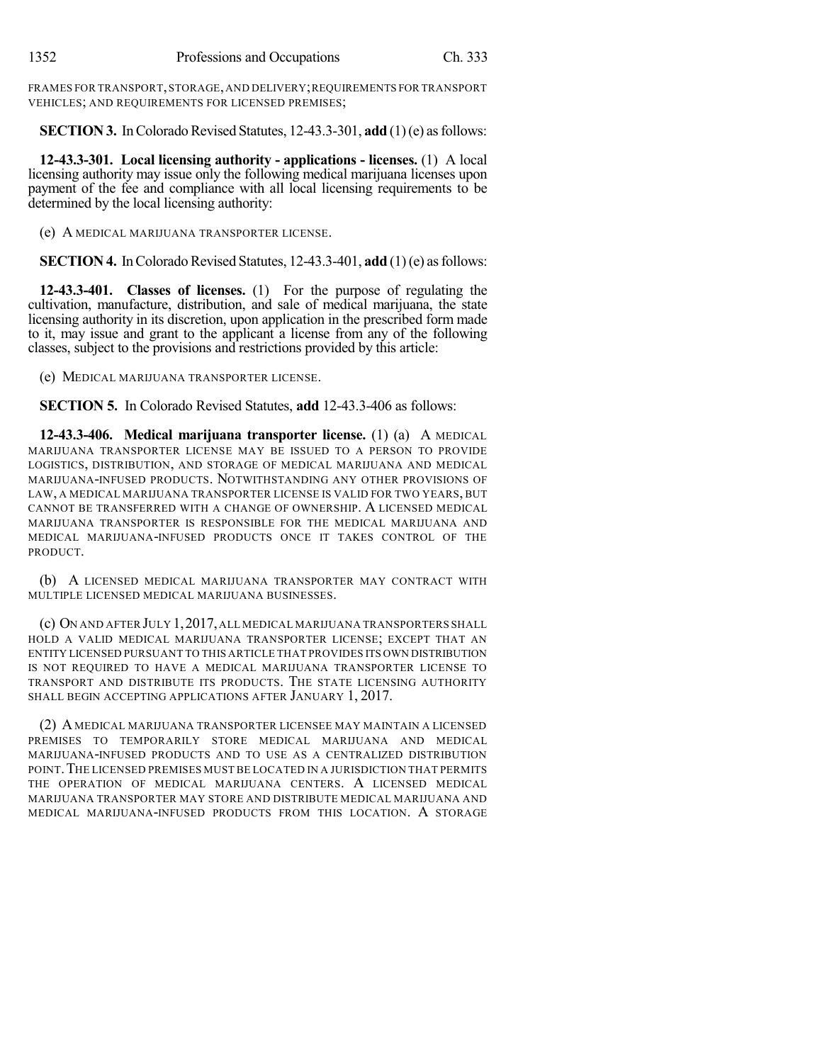FRAMES FOR TRANSPORT,STORAGE,AND DELIVERY;REQUIREMENTS FOR TRANSPORT VEHICLES; AND REQUIREMENTS FOR LICENSED PREMISES;

**SECTION 3.** In Colorado Revised Statutes, 12-43.3-301, **add** (1)(e) as follows:

**12-43.3-301. Local licensing authority - applications - licenses.** (1) A local licensing authority may issue only the following medical marijuana licenses upon payment of the fee and compliance with all local licensing requirements to be determined by the local licensing authority:

(e) A MEDICAL MARIJUANA TRANSPORTER LICENSE.

**SECTION 4.** In Colorado Revised Statutes, 12-43.3-401, **add** (1)(e) as follows:

**12-43.3-401. Classes of licenses.** (1) For the purpose of regulating the cultivation, manufacture, distribution, and sale of medical marijuana, the state licensing authority in its discretion, upon application in the prescribed form made to it, may issue and grant to the applicant a license from any of the following classes, subject to the provisions and restrictions provided by this article:

(e) MEDICAL MARIJUANA TRANSPORTER LICENSE.

**SECTION 5.** In Colorado Revised Statutes, **add** 12-43.3-406 as follows:

**12-43.3-406. Medical marijuana transporter license.** (1) (a) A MEDICAL MARIJUANA TRANSPORTER LICENSE MAY BE ISSUED TO A PERSON TO PROVIDE LOGISTICS, DISTRIBUTION, AND STORAGE OF MEDICAL MARIJUANA AND MEDICAL MARIJUANA-INFUSED PRODUCTS. NOTWITHSTANDING ANY OTHER PROVISIONS OF LAW, A MEDICAL MARIJUANA TRANSPORTER LICENSE IS VALID FOR TWO YEARS, BUT CANNOT BE TRANSFERRED WITH A CHANGE OF OWNERSHIP. A LICENSED MEDICAL MARIJUANA TRANSPORTER IS RESPONSIBLE FOR THE MEDICAL MARIJUANA AND MEDICAL MARIJUANA-INFUSED PRODUCTS ONCE IT TAKES CONTROL OF THE PRODUCT.

(b) A LICENSED MEDICAL MARIJUANA TRANSPORTER MAY CONTRACT WITH MULTIPLE LICENSED MEDICAL MARIJUANA BUSINESSES.

(c) ON AND AFTER JULY 1,2017,ALL MEDICAL MARIJUANA TRANSPORTERS SHALL HOLD A VALID MEDICAL MARIJUANA TRANSPORTER LICENSE; EXCEPT THAT AN ENTITY LICENSED PURSUANT TO THIS ARTICLE THAT PROVIDES ITS OWN DISTRIBUTION IS NOT REQUIRED TO HAVE A MEDICAL MARIJUANA TRANSPORTER LICENSE TO TRANSPORT AND DISTRIBUTE ITS PRODUCTS. THE STATE LICENSING AUTHORITY SHALL BEGIN ACCEPTING APPLICATIONS AFTER JANUARY 1, 2017.

(2) A MEDICAL MARIJUANA TRANSPORTER LICENSEE MAY MAINTAIN A LICENSED PREMISES TO TEMPORARILY STORE MEDICAL MARIJUANA AND MEDICAL MARIJUANA-INFUSED PRODUCTS AND TO USE AS A CENTRALIZED DISTRIBUTION POINT. THE LICENSED PREMISES MUST BE LOCATED IN A JURISDICTION THAT PERMITS THE OPERATION OF MEDICAL MARIJUANA CENTERS. A LICENSED MEDICAL MARIJUANA TRANSPORTER MAY STORE AND DISTRIBUTE MEDICAL MARIJUANA AND MEDICAL MARIJUANA-INFUSED PRODUCTS FROM THIS LOCATION. A STORAGE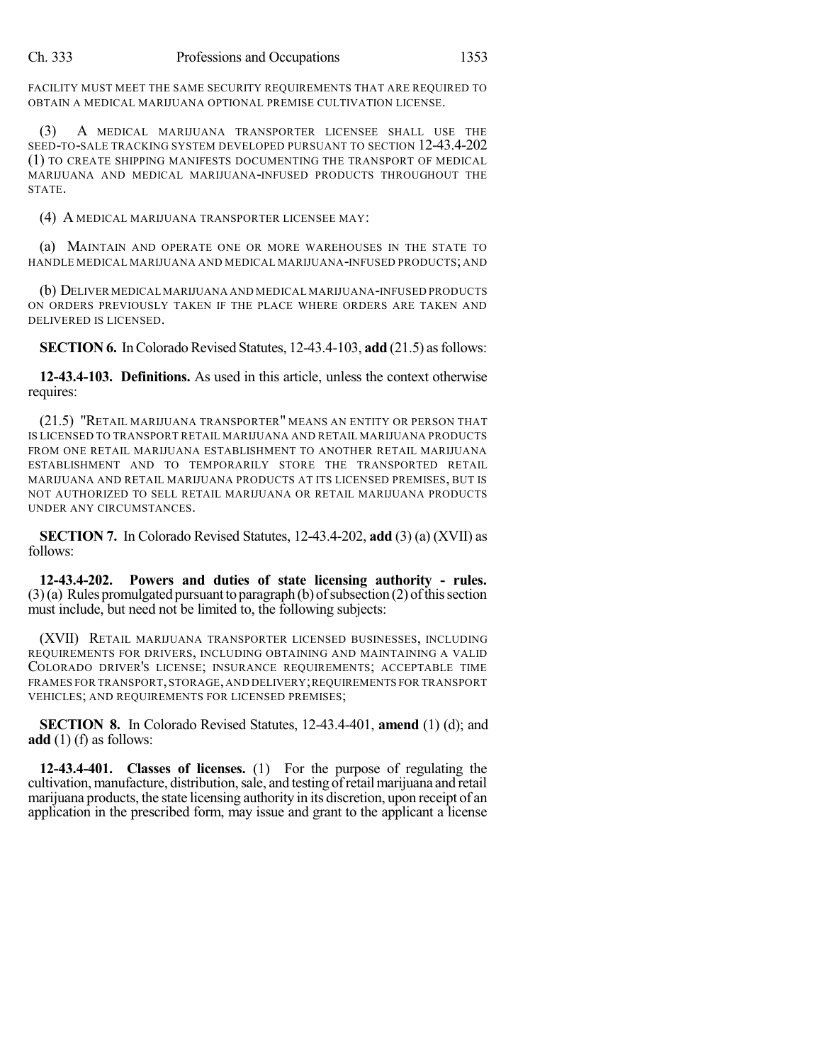FACILITY MUST MEET THE SAME SECURITY REQUIREMENTS THAT ARE REQUIRED TO OBTAIN A MEDICAL MARIJUANA OPTIONAL PREMISE CULTIVATION LICENSE.

(3) A MEDICAL MARIJUANA TRANSPORTER LICENSEE SHALL USE THE SEED-TO-SALE TRACKING SYSTEM DEVELOPED PURSUANT TO SECTION 12-43.4-202 (1) TO CREATE SHIPPING MANIFESTS DOCUMENTING THE TRANSPORT OF MEDICAL MARIJUANA AND MEDICAL MARIJUANA-INFUSED PRODUCTS THROUGHOUT THE STATE.

(4) A MEDICAL MARIJUANA TRANSPORTER LICENSEE MAY:

(a) MAINTAIN AND OPERATE ONE OR MORE WAREHOUSES IN THE STATE TO HANDLE MEDICAL MARIJUANA AND MEDICAL MARIJUANA-INFUSED PRODUCTS; AND

(b) DELIVER MEDICAL MARIJUANA AND MEDICAL MARIJUANA-INFUSED PRODUCTS ON ORDERS PREVIOUSLY TAKEN IF THE PLACE WHERE ORDERS ARE TAKEN AND DELIVERED IS LICENSED.

**SECTION 6.** In Colorado Revised Statutes, 12-43.4-103, add (21.5) as follows:

**12-43.4-103. Definitions.** As used in this article, unless the context otherwise requires:

(21.5) "RETAIL MARIJUANA TRANSPORTER" MEANS AN ENTITY OR PERSON THAT IS LICENSED TO TRANSPORT RETAIL MARIJUANA AND RETAIL MARIJUANA PRODUCTS FROM ONE RETAIL MARIJUANA ESTABLISHMENT TO ANOTHER RETAIL MARIJUANA ESTABLISHMENT AND TO TEMPORARILY STORE THE TRANSPORTED RETAIL MARIJUANA AND RETAIL MARIJUANA PRODUCTS AT ITS LICENSED PREMISES, BUT IS NOT AUTHORIZED TO SELL RETAIL MARIJUANA OR RETAIL MARIJUANA PRODUCTS UNDER ANY CIRCUMSTANCES.

**SECTION 7.** In Colorado Revised Statutes, 12-43.4-202, **add** (3) (a) (XVII) as follows:

**12-43.4-202. Powers and duties of state licensing authority - rules.**  $(3)(a)$  Rules promulgated pursuant to paragraph (b) of subsection  $(2)$  of this section must include, but need not be limited to, the following subjects:

(XVII) RETAIL MARIJUANA TRANSPORTER LICENSED BUSINESSES, INCLUDING REQUIREMENTS FOR DRIVERS, INCLUDING OBTAINING AND MAINTAINING A VALID COLORADO DRIVER'S LICENSE; INSURANCE REQUIREMENTS; ACCEPTABLE TIME FRAMES FOR TRANSPORT,STORAGE,AND DELIVERY;REQUIREMENTS FOR TRANSPORT VEHICLES; AND REQUIREMENTS FOR LICENSED PREMISES;

**SECTION 8.** In Colorado Revised Statutes, 12-43.4-401, **amend** (1) (d); and **add** (1) (f) as follows:

**12-43.4-401. Classes of licenses.** (1) For the purpose of regulating the cultivation, manufacture, distribution, sale, and testing of retail marijuana and retail marijuana products, the state licensing authority in its discretion, upon receipt of an application in the prescribed form, may issue and grant to the applicant a license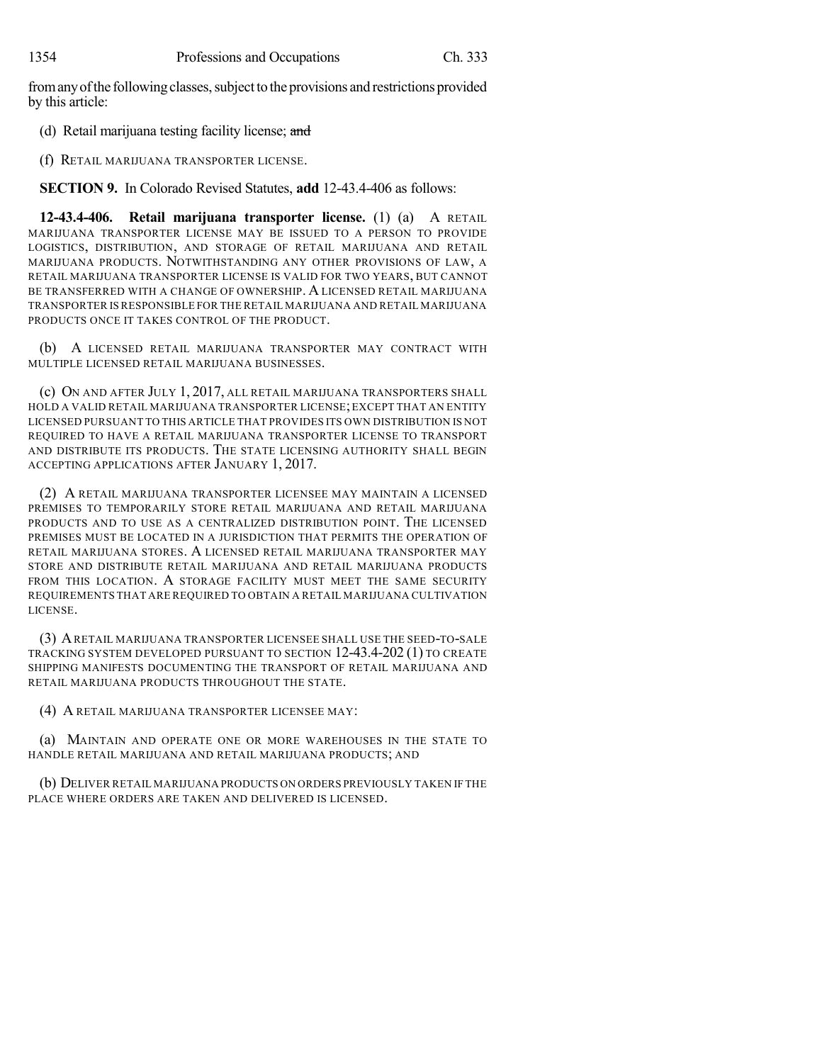from any of the following classes, subject to the provisions and restrictions provided by this article:

- (d) Retail marijuana testing facility license; and
- (f) RETAIL MARIJUANA TRANSPORTER LICENSE.

**SECTION 9.** In Colorado Revised Statutes, **add** 12-43.4-406 as follows:

**12-43.4-406. Retail marijuana transporter license.** (1) (a) A RETAIL MARIJUANA TRANSPORTER LICENSE MAY BE ISSUED TO A PERSON TO PROVIDE LOGISTICS, DISTRIBUTION, AND STORAGE OF RETAIL MARIJUANA AND RETAIL MARIJUANA PRODUCTS. NOTWITHSTANDING ANY OTHER PROVISIONS OF LAW, A RETAIL MARIJUANA TRANSPORTER LICENSE IS VALID FOR TWO YEARS, BUT CANNOT BE TRANSFERRED WITH A CHANGE OF OWNERSHIP. A LICENSED RETAIL MARIJUANA TRANSPORTER IS RESPONSIBLE FOR THE RETAIL MARIJUANA AND RETAIL MARIJUANA PRODUCTS ONCE IT TAKES CONTROL OF THE PRODUCT.

(b) A LICENSED RETAIL MARIJUANA TRANSPORTER MAY CONTRACT WITH MULTIPLE LICENSED RETAIL MARIJUANA BUSINESSES.

(c) ON AND AFTER JULY 1, 2017, ALL RETAIL MARIJUANA TRANSPORTERS SHALL HOLD A VALID RETAIL MARIJUANA TRANSPORTER LICENSE;EXCEPT THAT AN ENTITY LICENSED PURSUANT TO THIS ARTICLE THAT PROVIDES ITS OWN DISTRIBUTION IS NOT REQUIRED TO HAVE A RETAIL MARIJUANA TRANSPORTER LICENSE TO TRANSPORT AND DISTRIBUTE ITS PRODUCTS. THE STATE LICENSING AUTHORITY SHALL BEGIN ACCEPTING APPLICATIONS AFTER JANUARY 1, 2017.

(2) A RETAIL MARIJUANA TRANSPORTER LICENSEE MAY MAINTAIN A LICENSED PREMISES TO TEMPORARILY STORE RETAIL MARIJUANA AND RETAIL MARIJUANA PRODUCTS AND TO USE AS A CENTRALIZED DISTRIBUTION POINT. THE LICENSED PREMISES MUST BE LOCATED IN A JURISDICTION THAT PERMITS THE OPERATION OF RETAIL MARIJUANA STORES. A LICENSED RETAIL MARIJUANA TRANSPORTER MAY STORE AND DISTRIBUTE RETAIL MARIJUANA AND RETAIL MARIJUANA PRODUCTS FROM THIS LOCATION. A STORAGE FACILITY MUST MEET THE SAME SECURITY REQUIREMENTS THAT ARE REQUIRED TO OBTAIN A RETAIL MARIJUANA CULTIVATION LICENSE.

(3) ARETAIL MARIJUANA TRANSPORTER LICENSEE SHALL USE THE SEED-TO-SALE TRACKING SYSTEM DEVELOPED PURSUANT TO SECTION 12-43.4-202 (1) TO CREATE SHIPPING MANIFESTS DOCUMENTING THE TRANSPORT OF RETAIL MARIJUANA AND RETAIL MARIJUANA PRODUCTS THROUGHOUT THE STATE.

(4) A RETAIL MARIJUANA TRANSPORTER LICENSEE MAY:

(a) MAINTAIN AND OPERATE ONE OR MORE WAREHOUSES IN THE STATE TO HANDLE RETAIL MARIJUANA AND RETAIL MARIJUANA PRODUCTS; AND

(b) DELIVER RETAIL MARIJUANA PRODUCTS ON ORDERS PREVIOUSLY TAKEN IF THE PLACE WHERE ORDERS ARE TAKEN AND DELIVERED IS LICENSED.